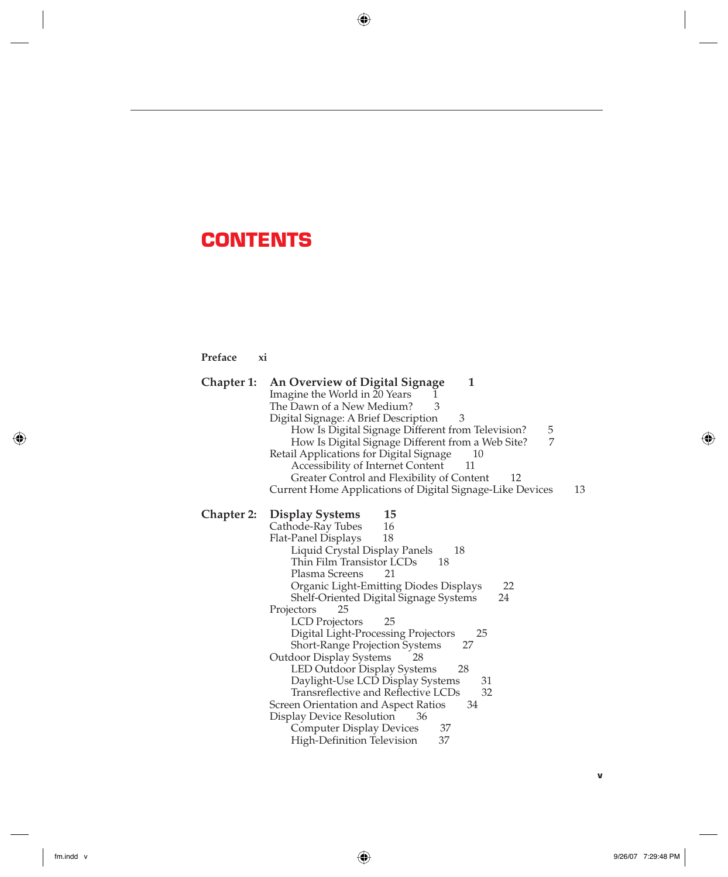## **CONTENTS**

**Preface xi**

| Chapter 1: | An Overview of Digital Signage<br>1<br>Imagine the World in 20 Years<br>L<br>The Dawn of a New Medium?<br>3<br>Digital Signage: A Brief Description<br>3<br>How Is Digital Signage Different from Television?<br>5<br>How Is Digital Signage Different from a Web Site?<br>7<br>Retail Applications for Digital Signage<br>10<br>Accessibility of Internet Content<br>11<br>Greater Control and Flexibility of Content<br>12<br>Current Home Applications of Digital Signage-Like Devices<br>13                                                                                                                                                                                                                                                                      |
|------------|----------------------------------------------------------------------------------------------------------------------------------------------------------------------------------------------------------------------------------------------------------------------------------------------------------------------------------------------------------------------------------------------------------------------------------------------------------------------------------------------------------------------------------------------------------------------------------------------------------------------------------------------------------------------------------------------------------------------------------------------------------------------|
|            | <b>Chapter 2:</b> Display Systems<br>15<br>16<br>Cathode-Ray Tubes<br>Flat-Panel Displays<br>18<br>Liquid Crystal Display Panels<br>18<br>Thin Film Transistor LCDs<br>18<br>Plasma Screens<br>21<br>Organic Light-Emitting Diodes Displays<br>22<br>Shelf-Oriented Digital Signage Systems<br>24<br>Projectors<br>25<br>LCD Projectors<br>25<br>Digital Light-Processing Projectors<br>25<br>Short-Range Projection Systems<br>27<br><b>Outdoor Display Systems</b><br>28<br>LED Outdoor Display Systems<br>28<br>Daylight-Use LCD Display Systems<br>31<br>Transreflective and Reflective LCDs<br>32<br>Screen Orientation and Aspect Ratios<br>34<br>Display Device Resolution<br>36<br><b>Computer Display Devices</b><br>37<br>High-Definition Television<br>37 |

 $\bigoplus$ 

 $\bigoplus$ 

fm.indd v 9/26/07 7:29:48 PM  $\bigoplus$ 

 $\bigoplus$ 

**v**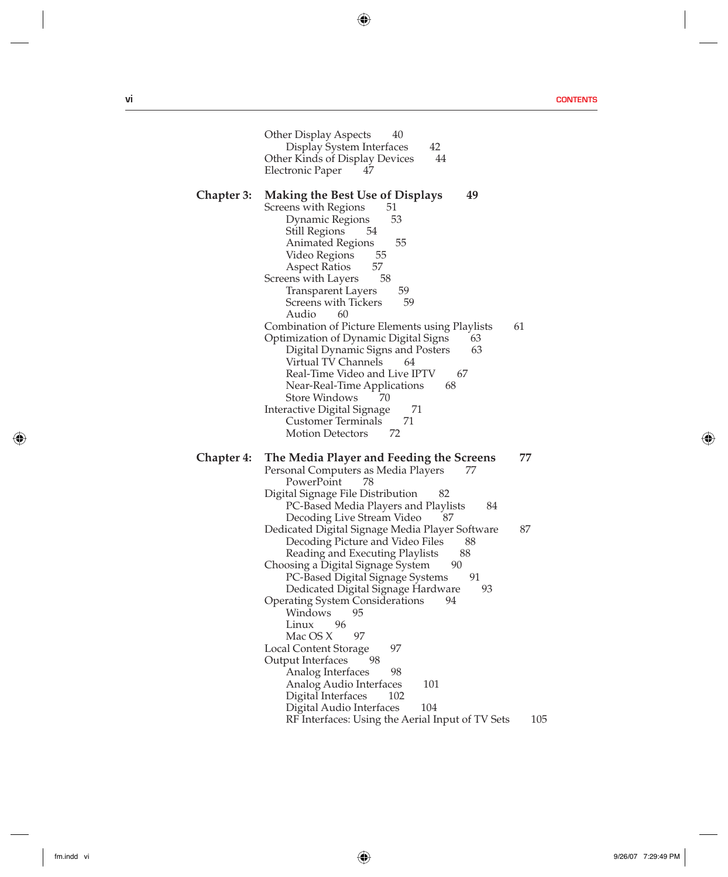**vi CONTENTS**

I

 $\bigoplus$ 

|                   | Other Display Aspects<br>40<br>42<br>Display System Interfaces<br>44<br>Other Kinds of Display Devices<br>Electronic Paper<br>47                                                                                                                                                                                                                                                                                                                                                                                                                                                                                                                                                                                                                                                                                                                                       |
|-------------------|------------------------------------------------------------------------------------------------------------------------------------------------------------------------------------------------------------------------------------------------------------------------------------------------------------------------------------------------------------------------------------------------------------------------------------------------------------------------------------------------------------------------------------------------------------------------------------------------------------------------------------------------------------------------------------------------------------------------------------------------------------------------------------------------------------------------------------------------------------------------|
| Chapter 3:        | 49<br><b>Making the Best Use of Displays</b><br>Screens with Regions<br>51<br>Dynamic Regions<br>53<br>Still Regions<br>54<br>55<br>Animated Regions<br>55<br>Video Regions<br>57<br>Aspect Ratios<br>58<br>Screens with Layers<br>59<br>Transparent Layers<br>59<br>Screens with Tickers<br>Audio<br>60<br>61<br>Combination of Picture Elements using Playlists<br>Optimization of Dynamic Digital Signs<br>63<br>Digital Dynamic Signs and Posters<br>63<br>Virtual TV Channels<br>64<br>Real-Time Video and Live IPTV<br>67<br>68<br>Near-Real-Time Applications<br>Store Windows<br>70<br>Interactive Digital Signage<br>71<br>71<br>Customer Terminals<br><b>Motion Detectors</b><br>72                                                                                                                                                                          |
| <b>Chapter 4:</b> | The Media Player and Feeding the Screens<br>77<br>Personal Computers as Media Players<br>77<br>PowerPoint<br>78<br>Digital Signage File Distribution<br>82<br>PC-Based Media Players and Playlists<br>84<br>Decoding Live Stream Video<br>87<br>87<br>Dedicated Digital Signage Media Player Software<br>Decoding Picture and Video Files<br>88<br>88<br>Reading and Executing Playlists<br>90<br>Choosing a Digital Signage System<br>91<br>PC-Based Digital Signage Systems<br>Dedicated Digital Signage Hardware<br>93<br>Operating System Considerations<br>94<br>Windows<br>95<br>96<br>Linux<br>Mac OS X<br>97<br>97<br>Local Content Storage<br>98<br>Output Interfaces<br>98<br>Analog Interfaces<br>101<br>Analog Audio Interfaces<br>Digital Interfaces<br>102<br>104<br>Digital Audio Interfaces<br>RF Interfaces: Using the Aerial Input of TV Sets<br>105 |

 $\bigoplus$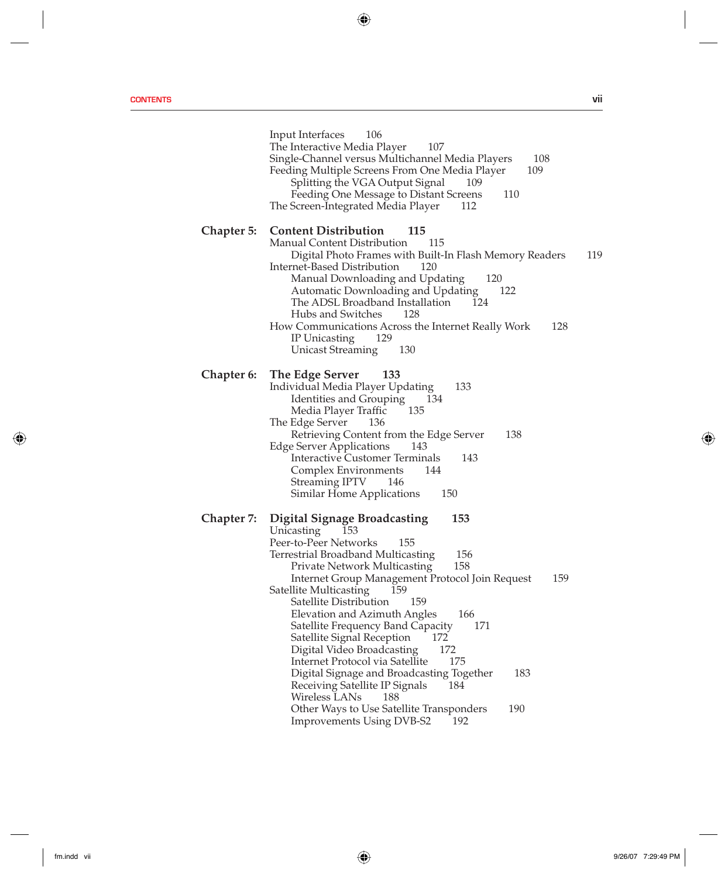**CONTENTS vii**

|            | 106<br>Input Interfaces<br>The Interactive Media Player<br>107<br>Single-Channel versus Multichannel Media Players<br>108<br>Feeding Multiple Screens From One Media Player<br>109<br>Splitting the VGA Output Signal<br>109<br>Feeding One Message to Distant Screens<br>110<br>The Screen-Integrated Media Player<br>112                                                                                                                                                                                                                                                                                                                                                                                                         |     |
|------------|------------------------------------------------------------------------------------------------------------------------------------------------------------------------------------------------------------------------------------------------------------------------------------------------------------------------------------------------------------------------------------------------------------------------------------------------------------------------------------------------------------------------------------------------------------------------------------------------------------------------------------------------------------------------------------------------------------------------------------|-----|
| Chapter 5: | <b>Content Distribution</b><br>115<br>Manual Content Distribution<br>115<br>Digital Photo Frames with Built-In Flash Memory Readers<br>Internet-Based Distribution<br>120<br>Manual Downloading and Updating<br>120<br>Automatic Downloading and Updating<br>122<br>The ADSL Broadband Installation<br>124<br>Hubs and Switches<br>128<br>How Communications Across the Internet Really Work<br>128<br>IP Unicasting<br>129<br>Unicast Streaming<br>130                                                                                                                                                                                                                                                                            | 119 |
| Chapter 6: | The Edge Server<br>133<br>Individual Media Player Updating<br>133<br>Identities and Grouping<br>134<br>Media Player Traffic<br>135<br>The Edge Server<br>136<br>Retrieving Content from the Edge Server<br>138<br>Edge Server Applications<br>143<br><b>Interactive Customer Terminals</b><br>143<br>144<br>Complex Environments<br>Streaming IPTV 146<br>Similar Home Applications<br>150                                                                                                                                                                                                                                                                                                                                         |     |
| Chapter 7: | <b>Digital Signage Broadcasting</b><br>153<br>Unicasting<br>153<br>Peer-to-Peer Networks<br>155<br>156<br>Terrestrial Broadband Multicasting<br>158<br>Private Network Multicasting<br>Internet Group Management Protocol Join Request<br>159<br>Satellite Multicasting<br>159<br>Satellite Distribution<br>159<br>Elevation and Azimuth Angles<br>166<br>Satellite Frequency Band Capacity<br>171<br>172<br>Satellite Signal Reception<br>Digital Video Broadcasting<br>172<br>Internet Protocol via Satellite<br>175<br>183<br>Digital Signage and Broadcasting Together<br>Receiving Satellite IP Signals<br>184<br>Wireless LANs<br>188<br>190<br>Other Ways to Use Satellite Transponders<br>Improvements Using DVB-S2<br>192 |     |

 $\bigoplus$ 

 $\overline{\phantom{a}}$ 

 $\bigoplus$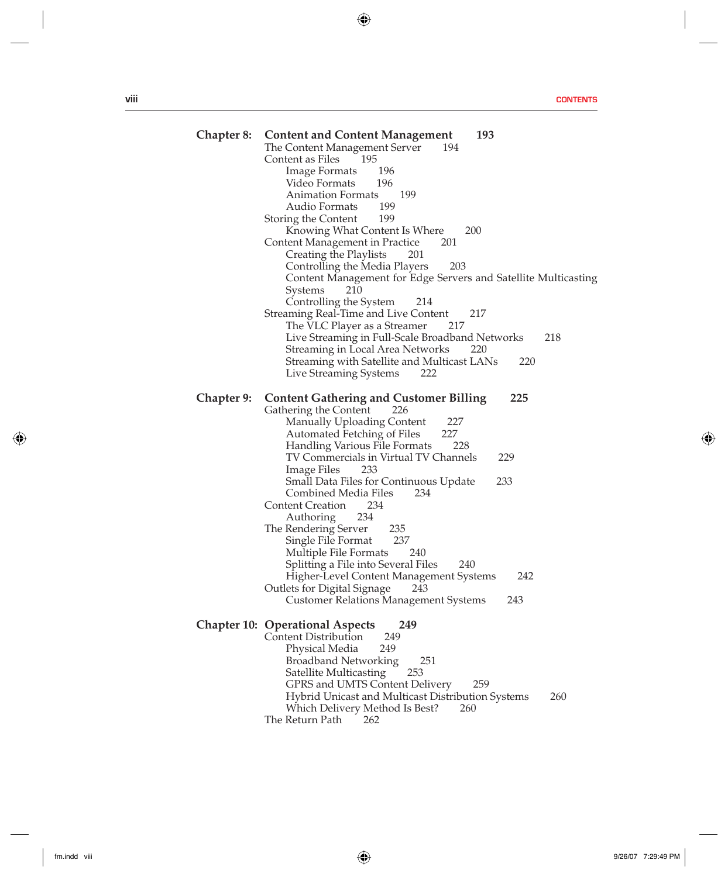**viii CONTENTS**

I

 $\bigoplus$ 

| Chapter 8: | <b>Content and Content Management</b><br>193<br>The Content Management Server<br>194<br>Content as Files<br>195<br>Image Formats<br>196<br>Video Formats<br>196<br>Animation Formats<br>199<br>199<br>Audio Formats<br>199<br>Storing the Content<br>Knowing What Content Is Where<br>200<br>Content Management in Practice<br>201<br>Creating the Playlists<br>201<br>Controlling the Media Players<br>203<br>Content Management for Edge Servers and Satellite Multicasting<br>210<br>Systems<br>Controlling the System<br>214<br>Streaming Real-Time and Live Content<br>217<br>The VLC Player as a Streamer<br>217<br>Live Streaming in Full-Scale Broadband Networks<br>218<br>Streaming in Local Area Networks<br>220<br>Streaming with Satellite and Multicast LANs<br>220<br>Live Streaming Systems<br>222 |
|------------|--------------------------------------------------------------------------------------------------------------------------------------------------------------------------------------------------------------------------------------------------------------------------------------------------------------------------------------------------------------------------------------------------------------------------------------------------------------------------------------------------------------------------------------------------------------------------------------------------------------------------------------------------------------------------------------------------------------------------------------------------------------------------------------------------------------------|
| Chapter 9: | <b>Content Gathering and Customer Billing</b><br>225<br>Gathering the Content<br>226<br>227<br>Manually Uploading Content<br>227<br>Automated Fetching of Files<br>Handling Various File Formats<br>228<br>TV Commercials in Virtual TV Channels<br>229<br>Image Files<br>233<br>Small Data Files for Continuous Update<br>233<br>Combined Media Files<br>234<br><b>Content Creation</b><br>234<br>234<br>Authoring<br>The Rendering Server<br>235<br>Single File Format<br>237<br>Multiple File Formats<br>240<br>Splitting a File into Several Files<br>240<br>Higher-Level Content Management Systems<br>242<br>243<br>Outlets for Digital Signage<br>Customer Relations Management Systems<br>243                                                                                                              |
|            | <b>Chapter 10: Operational Aspects</b><br>249<br>249<br>Content Distribution<br>249<br>Physical Media<br>Broadband Networking<br>251<br>253<br>Satellite Multicasting<br>GPRS and UMTS Content Delivery<br>259<br>Hybrid Unicast and Multicast Distribution Systems<br>260<br>Which Delivery Method Is Best?<br>260<br>The Return Path<br>262                                                                                                                                                                                                                                                                                                                                                                                                                                                                      |

 $\bigoplus$